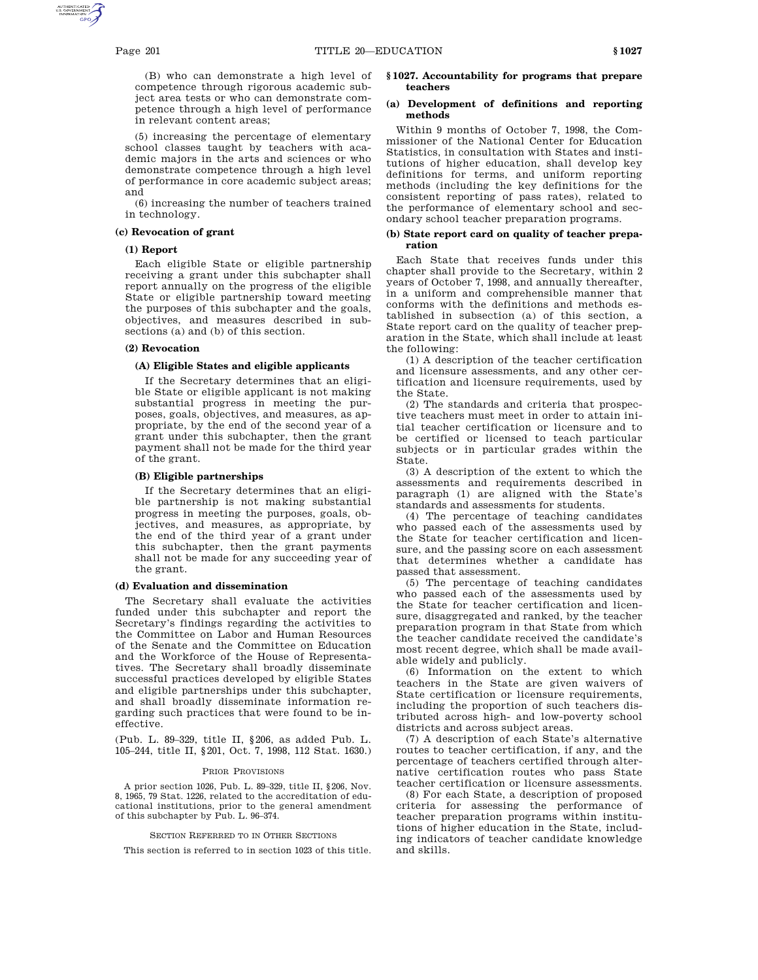(B) who can demonstrate a high level of competence through rigorous academic subject area tests or who can demonstrate competence through a high level of performance in relevant content areas;

(5) increasing the percentage of elementary school classes taught by teachers with academic majors in the arts and sciences or who demonstrate competence through a high level of performance in core academic subject areas; and

(6) increasing the number of teachers trained in technology.

## **(c) Revocation of grant**

## **(1) Report**

Each eligible State or eligible partnership receiving a grant under this subchapter shall report annually on the progress of the eligible State or eligible partnership toward meeting the purposes of this subchapter and the goals, objectives, and measures described in subsections (a) and (b) of this section.

#### **(2) Revocation**

## **(A) Eligible States and eligible applicants**

If the Secretary determines that an eligible State or eligible applicant is not making substantial progress in meeting the purposes, goals, objectives, and measures, as appropriate, by the end of the second year of a grant under this subchapter, then the grant payment shall not be made for the third year of the grant.

## **(B) Eligible partnerships**

If the Secretary determines that an eligible partnership is not making substantial progress in meeting the purposes, goals, objectives, and measures, as appropriate, by the end of the third year of a grant under this subchapter, then the grant payments shall not be made for any succeeding year of the grant.

#### **(d) Evaluation and dissemination**

The Secretary shall evaluate the activities funded under this subchapter and report the Secretary's findings regarding the activities to the Committee on Labor and Human Resources of the Senate and the Committee on Education and the Workforce of the House of Representatives. The Secretary shall broadly disseminate successful practices developed by eligible States and eligible partnerships under this subchapter, and shall broadly disseminate information regarding such practices that were found to be ineffective.

(Pub. L. 89–329, title II, §206, as added Pub. L. 105–244, title II, §201, Oct. 7, 1998, 112 Stat. 1630.)

#### PRIOR PROVISIONS

A prior section 1026, Pub. L. 89–329, title II, §206, Nov. 8, 1965, 79 Stat. 1226, related to the accreditation of educational institutions, prior to the general amendment of this subchapter by Pub. L. 96–374.

#### SECTION REFERRED TO IN OTHER SECTIONS

This section is referred to in section 1023 of this title.

#### **§ 1027. Accountability for programs that prepare teachers**

## **(a) Development of definitions and reporting methods**

Within 9 months of October 7, 1998, the Commissioner of the National Center for Education Statistics, in consultation with States and institutions of higher education, shall develop key definitions for terms, and uniform reporting methods (including the key definitions for the consistent reporting of pass rates), related to the performance of elementary school and secondary school teacher preparation programs.

#### **(b) State report card on quality of teacher preparation**

Each State that receives funds under this chapter shall provide to the Secretary, within 2 years of October 7, 1998, and annually thereafter, in a uniform and comprehensible manner that conforms with the definitions and methods established in subsection (a) of this section, a State report card on the quality of teacher preparation in the State, which shall include at least the following:

(1) A description of the teacher certification and licensure assessments, and any other certification and licensure requirements, used by the State.

(2) The standards and criteria that prospective teachers must meet in order to attain initial teacher certification or licensure and to be certified or licensed to teach particular subjects or in particular grades within the State.

(3) A description of the extent to which the assessments and requirements described in paragraph (1) are aligned with the State's standards and assessments for students.

(4) The percentage of teaching candidates who passed each of the assessments used by the State for teacher certification and licensure, and the passing score on each assessment that determines whether a candidate has passed that assessment.

(5) The percentage of teaching candidates who passed each of the assessments used by the State for teacher certification and licensure, disaggregated and ranked, by the teacher preparation program in that State from which the teacher candidate received the candidate's most recent degree, which shall be made available widely and publicly.

(6) Information on the extent to which teachers in the State are given waivers of State certification or licensure requirements, including the proportion of such teachers distributed across high- and low-poverty school districts and across subject areas.

(7) A description of each State's alternative routes to teacher certification, if any, and the percentage of teachers certified through alternative certification routes who pass State teacher certification or licensure assessments.

(8) For each State, a description of proposed criteria for assessing the performance of teacher preparation programs within institutions of higher education in the State, including indicators of teacher candidate knowledge and skills.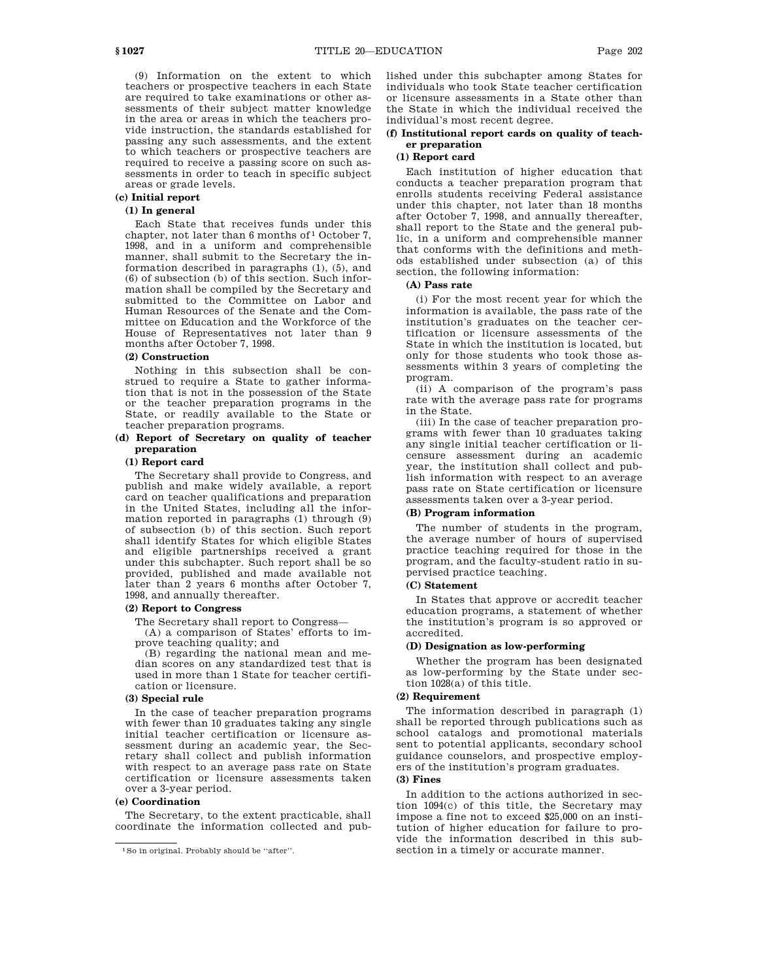(9) Information on the extent to which teachers or prospective teachers in each State are required to take examinations or other assessments of their subject matter knowledge in the area or areas in which the teachers provide instruction, the standards established for passing any such assessments, and the extent to which teachers or prospective teachers are required to receive a passing score on such assessments in order to teach in specific subject areas or grade levels.

# **(c) Initial report**

# **(1) In general**

Each State that receives funds under this chapter, not later than 6 months of <sup>1</sup> October 7, 1998, and in a uniform and comprehensible manner, shall submit to the Secretary the information described in paragraphs (1), (5), and (6) of subsection (b) of this section. Such information shall be compiled by the Secretary and submitted to the Committee on Labor and Human Resources of the Senate and the Committee on Education and the Workforce of the House of Representatives not later than 9 months after October 7, 1998.

#### **(2) Construction**

Nothing in this subsection shall be construed to require a State to gather information that is not in the possession of the State or the teacher preparation programs in the State, or readily available to the State or teacher preparation programs.

## **(d) Report of Secretary on quality of teacher preparation**

## **(1) Report card**

The Secretary shall provide to Congress, and publish and make widely available, a report card on teacher qualifications and preparation in the United States, including all the information reported in paragraphs (1) through (9) of subsection (b) of this section. Such report shall identify States for which eligible States and eligible partnerships received a grant under this subchapter. Such report shall be so provided, published and made available not later than 2 years 6 months after October 7, 1998, and annually thereafter.

# **(2) Report to Congress**

The Secretary shall report to Congress—

(A) a comparison of States' efforts to improve teaching quality; and

(B) regarding the national mean and median scores on any standardized test that is used in more than 1 State for teacher certification or licensure.

## **(3) Special rule**

In the case of teacher preparation programs with fewer than 10 graduates taking any single initial teacher certification or licensure assessment during an academic year, the Secretary shall collect and publish information with respect to an average pass rate on State certification or licensure assessments taken over a 3-year period.

## **(e) Coordination**

The Secretary, to the extent practicable, shall coordinate the information collected and published under this subchapter among States for individuals who took State teacher certification or licensure assessments in a State other than the State in which the individual received the individual's most recent degree.

# **(f) Institutional report cards on quality of teacher preparation**

# **(1) Report card**

Each institution of higher education that conducts a teacher preparation program that enrolls students receiving Federal assistance under this chapter, not later than 18 months after October 7, 1998, and annually thereafter, shall report to the State and the general public, in a uniform and comprehensible manner that conforms with the definitions and methods established under subsection (a) of this section, the following information:

# **(A) Pass rate**

(i) For the most recent year for which the information is available, the pass rate of the institution's graduates on the teacher certification or licensure assessments of the State in which the institution is located, but only for those students who took those assessments within 3 years of completing the program.

(ii) A comparison of the program's pass rate with the average pass rate for programs in the State.

(iii) In the case of teacher preparation programs with fewer than 10 graduates taking any single initial teacher certification or licensure assessment during an academic year, the institution shall collect and publish information with respect to an average pass rate on State certification or licensure assessments taken over a 3-year period.

#### **(B) Program information**

The number of students in the program, the average number of hours of supervised practice teaching required for those in the program, and the faculty-student ratio in supervised practice teaching.

# **(C) Statement**

In States that approve or accredit teacher education programs, a statement of whether the institution's program is so approved or accredited.

#### **(D) Designation as low-performing**

Whether the program has been designated as low-performing by the State under section 1028(a) of this title.

# **(2) Requirement**

The information described in paragraph (1) shall be reported through publications such as school catalogs and promotional materials sent to potential applicants, secondary school guidance counselors, and prospective employers of the institution's program graduates.

## **(3) Fines**

In addition to the actions authorized in section 1094(c) of this title, the Secretary may impose a fine not to exceed \$25,000 on an institution of higher education for failure to provide the information described in this subsection in a timely or accurate manner.

<sup>1</sup>So in original. Probably should be ''after''.